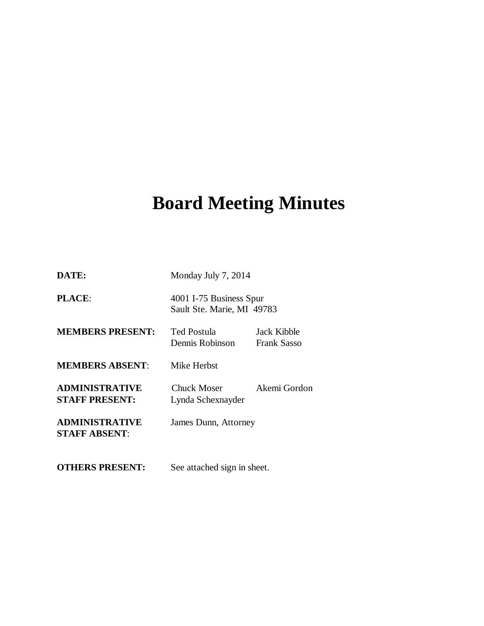# **Board Meeting Minutes**

| DATE:                                          | Monday July 7, 2014                                   |                                   |
|------------------------------------------------|-------------------------------------------------------|-----------------------------------|
| <b>PLACE:</b>                                  | 4001 I-75 Business Spur<br>Sault Ste. Marie, MI 49783 |                                   |
| <b>MEMBERS PRESENT:</b>                        | Ted Postula<br>Dennis Robinson                        | Jack Kibble<br><b>Frank Sasso</b> |
| <b>MEMBERS ABSENT:</b>                         | Mike Herbst                                           |                                   |
| <b>ADMINISTRATIVE</b><br><b>STAFF PRESENT:</b> | Chuck Moser<br>Lynda Schexnayder                      | Akemi Gordon                      |
| <b>ADMINISTRATIVE</b><br><b>STAFF ABSENT:</b>  | James Dunn, Attorney                                  |                                   |
| <b>OTHERS PRESENT:</b>                         | See attached sign in sheet.                           |                                   |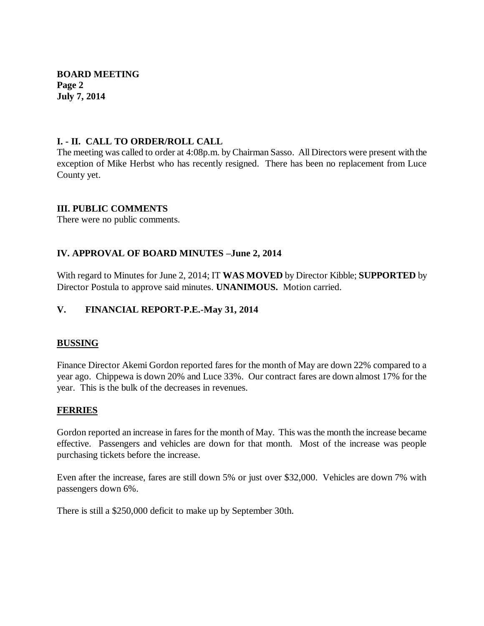**BOARD MEETING Page 2 July 7, 2014**

## **I. - II. CALL TO ORDER/ROLL CALL**

The meeting was called to order at 4:08p.m. by Chairman Sasso. All Directors were present with the exception of Mike Herbst who has recently resigned. There has been no replacement from Luce County yet.

## **III. PUBLIC COMMENTS**

There were no public comments.

## **IV. APPROVAL OF BOARD MINUTES –June 2, 2014**

With regard to Minutes for June 2, 2014; IT **WAS MOVED** by Director Kibble; **SUPPORTED** by Director Postula to approve said minutes. **UNANIMOUS.** Motion carried.

## **V. FINANCIAL REPORT-P.E.-May 31, 2014**

#### **BUSSING**

Finance Director Akemi Gordon reported fares for the month of May are down 22% compared to a year ago. Chippewa is down 20% and Luce 33%. Our contract fares are down almost 17% for the year. This is the bulk of the decreases in revenues.

#### **FERRIES**

Gordon reported an increase in fares for the month of May. This was the month the increase became effective. Passengers and vehicles are down for that month. Most of the increase was people purchasing tickets before the increase.

Even after the increase, fares are still down 5% or just over \$32,000. Vehicles are down 7% with passengers down 6%.

There is still a \$250,000 deficit to make up by September 30th.